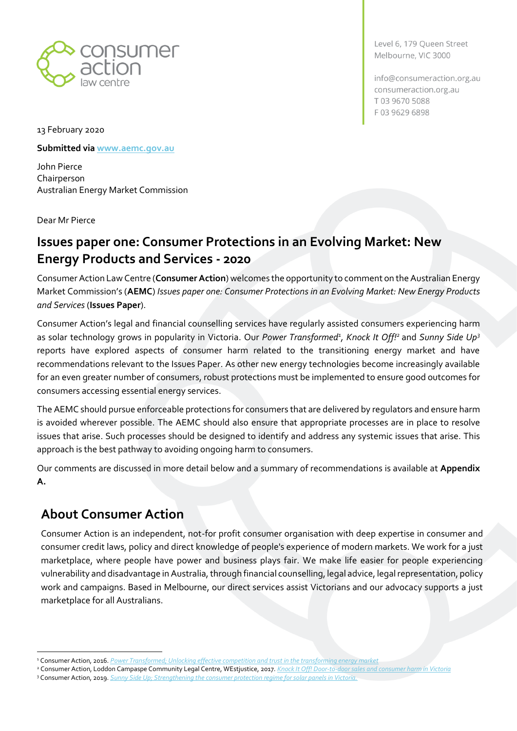

Level 6, 179 Queen Street Melbourne, VIC 3000

info@consumeraction.org.au consumeraction.org.au T0396705088 F0396296898

13 February 2020

**Submitted vi[a www.aemc.gov.au](http://www.aemc.gov.au/)**

John Pierce Chairperson Australian Energy Market Commission

Dear Mr Pierce

# **Issues paper one: Consumer Protections in an Evolving Market: New Energy Products and Services - 2020**

Consumer Action Law Centre (**Consumer Action**) welcomes the opportunity to comment on the Australian Energy Market Commission's (**AEMC**) *Issues paper one: Consumer Protections in an Evolving Market: New Energy Products and Services* (**Issues Paper**).

Consumer Action's legal and financial counselling services have regularly assisted consumers experiencing harm as solar technology grows in popularity in Victoria. Our *Power Transformed<sup>1</sup> , Knock It Off!<sup>2</sup>* and *Sunny Side Up<sup>3</sup>* reports have explored aspects of consumer harm related to the transitioning energy market and have recommendations relevant to the Issues Paper. As other new energy technologies become increasingly available for an even greater number of consumers, robust protections must be implemented to ensure good outcomes for consumers accessing essential energy services.

The AEMC should pursue enforceable protections for consumers that are delivered by regulators and ensure harm is avoided wherever possible. The AEMC should also ensure that appropriate processes are in place to resolve issues that arise. Such processes should be designed to identify and address any systemic issues that arise. This approach is the best pathway to avoiding ongoing harm to consumers.

Our comments are discussed in more detail below and a summary of recommendations is available at **Appendix A.**

# **About Consumer Action**

Consumer Action is an independent, not-for profit consumer organisation with deep expertise in consumer and consumer credit laws, policy and direct knowledge of people's experience of modern markets. We work for a just marketplace, where people have power and business plays fair. We make life easier for people experiencing vulnerability and disadvantage in Australia, through financial counselling, legal advice, legal representation, policy work and campaigns. Based in Melbourne, our direct services assist Victorians and our advocacy supports a just marketplace for all Australians.

<sup>1</sup> Consumer Action, 2016. *[Power Transformed; Unlocking effective competition and trust in the transforming energy market](https://consumeraction.org.au/wp-content/uploads/2016/07/Power-Transformed-Consumer-Action-Law-Centre-July-2016.pdf)*

<sup>2</sup> Consumer Action, Loddon Campaspe Community Legal Centre, WEstjustice, 2017. *[Knock It Off! Door-to-door sales and consumer harm in Victoria](https://consumeraction.org.au/wp-content/uploads/2017/11/Knock-it-off-Consumer-Action-Law-Centre-November-2017.pdf)* <sup>3</sup> Consumer Action, 2019. *[Sunny Side Up; Strengthening the consumer protection regime for solar panels in Victoria.](https://consumeraction.org.au/wp-content/uploads/2019/06/1904_Sunny-Side-Up-Report_FINAL_WEB_NEW-1.pdf)*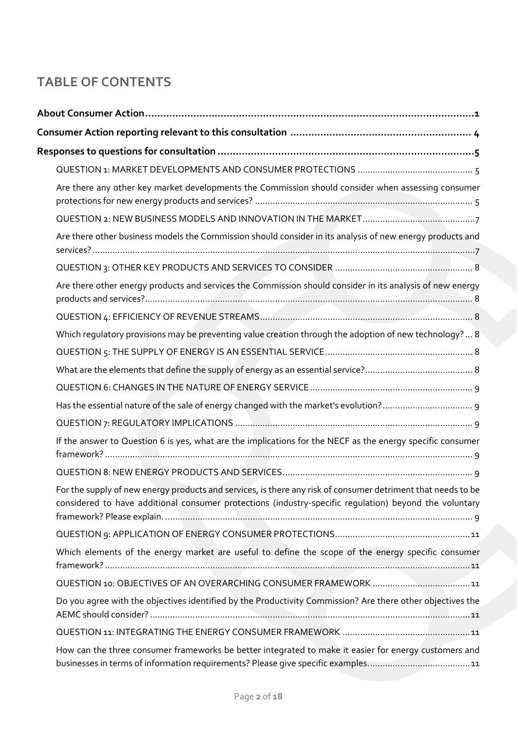# **TABLE OF CONTENTS**

| Are there any other key market developments the Commission should consider when assessing consumer                                                                                                                     |
|------------------------------------------------------------------------------------------------------------------------------------------------------------------------------------------------------------------------|
|                                                                                                                                                                                                                        |
| Are there other business models the Commission should consider in its analysis of new energy products and                                                                                                              |
|                                                                                                                                                                                                                        |
| Are there other energy products and services the Commission should consider in its analysis of new energy                                                                                                              |
|                                                                                                                                                                                                                        |
| Which regulatory provisions may be preventing value creation through the adoption of new technology?  8                                                                                                                |
|                                                                                                                                                                                                                        |
|                                                                                                                                                                                                                        |
|                                                                                                                                                                                                                        |
|                                                                                                                                                                                                                        |
|                                                                                                                                                                                                                        |
| If the answer to Question 6 is yes, what are the implications for the NECF as the energy specific consumer                                                                                                             |
|                                                                                                                                                                                                                        |
| For the supply of new energy products and services, is there any risk of consumer detriment that needs to be<br>considered to have additional consumer protections (industry-specific regulation) beyond the voluntary |
|                                                                                                                                                                                                                        |
| Which elements of the energy market are useful to define the scope of the energy specific consumer                                                                                                                     |
|                                                                                                                                                                                                                        |
| Do you agree with the objectives identified by the Productivity Commission? Are there other objectives the                                                                                                             |
|                                                                                                                                                                                                                        |
| How can the three consumer frameworks be better integrated to make it easier for energy customers and                                                                                                                  |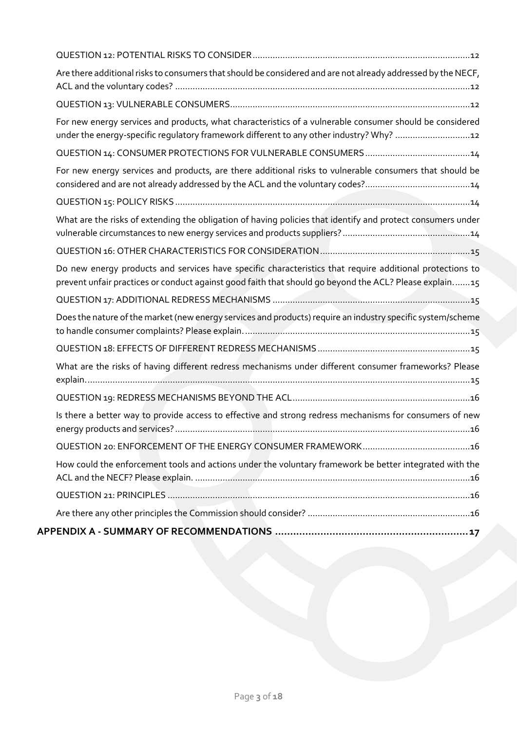| Are there additional risks to consumers that should be considered and are not already addressed by the NECF,                                                                                                       |
|--------------------------------------------------------------------------------------------------------------------------------------------------------------------------------------------------------------------|
|                                                                                                                                                                                                                    |
| For new energy services and products, what characteristics of a vulnerable consumer should be considered<br>under the energy-specific regulatory framework different to any other industry? Why? 2                 |
|                                                                                                                                                                                                                    |
| For new energy services and products, are there additional risks to vulnerable consumers that should be                                                                                                            |
|                                                                                                                                                                                                                    |
| What are the risks of extending the obligation of having policies that identify and protect consumers under                                                                                                        |
|                                                                                                                                                                                                                    |
| Do new energy products and services have specific characteristics that require additional protections to<br>prevent unfair practices or conduct against good faith that should go beyond the ACL? Please explain15 |
|                                                                                                                                                                                                                    |
| Does the nature of the market (new energy services and products) require an industry specific system/scheme                                                                                                        |
|                                                                                                                                                                                                                    |
| What are the risks of having different redress mechanisms under different consumer frameworks? Please                                                                                                              |
|                                                                                                                                                                                                                    |
| Is there a better way to provide access to effective and strong redress mechanisms for consumers of new                                                                                                            |
|                                                                                                                                                                                                                    |
| How could the enforcement tools and actions under the voluntary framework be better integrated with the                                                                                                            |
|                                                                                                                                                                                                                    |
|                                                                                                                                                                                                                    |
|                                                                                                                                                                                                                    |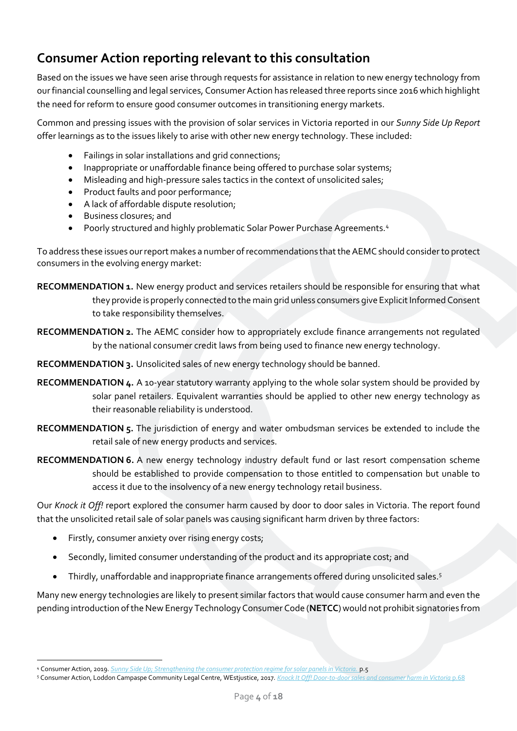# <span id="page-3-0"></span>**Consumer Action reporting relevant to this consultation**

Based on the issues we have seen arise through requests for assistance in relation to new energy technology from our financial counselling and legal services, Consumer Action has released three reports since 2016 which highlight the need for reform to ensure good consumer outcomes in transitioning energy markets.

Common and pressing issues with the provision of solar services in Victoria reported in our *Sunny Side Up Report*  offer learnings as to the issues likely to arise with other new energy technology. These included:

- Failings in solar installations and grid connections;
- Inappropriate or unaffordable finance being offered to purchase solar systems;
- Misleading and high-pressure sales tactics in the context of unsolicited sales;
- Product faults and poor performance;
- A lack of affordable dispute resolution;
- Business closures; and
- Poorly structured and highly problematic Solar Power Purchase Agreements.<sup>4</sup>

To address these issues our report makes a number of recommendations that the AEMC should consider to protect consumers in the evolving energy market:

<span id="page-3-1"></span>**RECOMMENDATION 1.** New energy product and services retailers should be responsible for ensuring that what they provide is properly connected to the main grid unless consumers give Explicit Informed Consent to take responsibility themselves.

<span id="page-3-2"></span>**RECOMMENDATION 2.** The AEMC consider how to appropriately exclude finance arrangements not regulated by the national consumer credit laws from being used to finance new energy technology.

<span id="page-3-3"></span>**RECOMMENDATION 3.** Unsolicited sales of new energy technology should be banned.

<span id="page-3-4"></span>**RECOMMENDATION 4.** A 10-year statutory warranty applying to the whole solar system should be provided by solar panel retailers. Equivalent warranties should be applied to other new energy technology as their reasonable reliability is understood.

<span id="page-3-5"></span>**RECOMMENDATION 5.** The jurisdiction of energy and water ombudsman services be extended to include the retail sale of new energy products and services.

<span id="page-3-6"></span>**RECOMMENDATION 6.** A new energy technology industry default fund or last resort compensation scheme should be established to provide compensation to those entitled to compensation but unable to access it due to the insolvency of a new energy technology retail business.

Our *Knock it Off!* report explored the consumer harm caused by door to door sales in Victoria. The report found that the unsolicited retail sale of solar panels was causing significant harm driven by three factors:

- Firstly, consumer anxiety over rising energy costs;
- Secondly, limited consumer understanding of the product and its appropriate cost; and
- Thirdly, unaffordable and inappropriate finance arrangements offered during unsolicited sales.<sup>5</sup>

Many new energy technologies are likely to present similar factors that would cause consumer harm and even the pending introduction of the New Energy Technology Consumer Code (**NETCC**) would not prohibit signatories from

<sup>4</sup> Consumer Action, 2019. *[Sunny Side Up; Strengthening the consumer protection regime for solar panels in Victoria.](https://consumeraction.org.au/wp-content/uploads/2019/06/1904_Sunny-Side-Up-Report_FINAL_WEB_NEW-1.pdf)* p.5

<sup>5</sup> Consumer Action, Loddon Campaspe Community Legal Centre, WEstjustice, 2017. *[Knock It Off! Door-to-door sales and consumer harm in Victoria](https://consumeraction.org.au/wp-content/uploads/2017/11/Knock-it-off-Consumer-Action-Law-Centre-November-2017.pdf)* p.68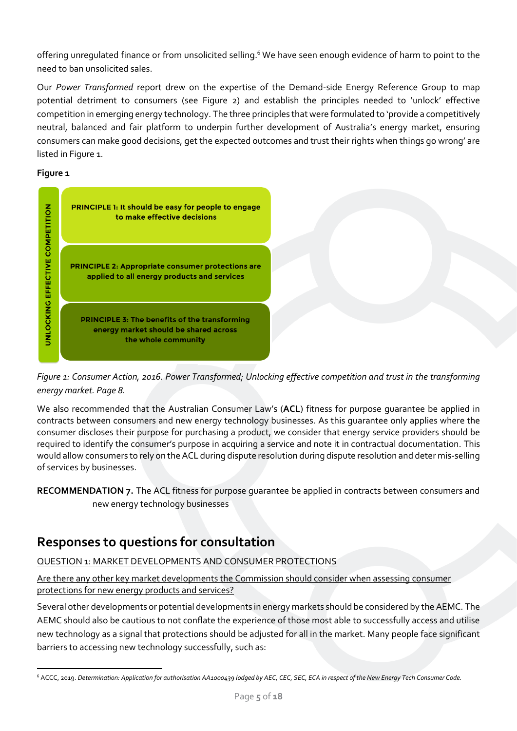offering unregulated finance or from unsolicited selling.<sup>6</sup> We have seen enough evidence of harm to point to the need to ban unsolicited sales.

Our *Power Transformed* report drew on the expertise of the Demand-side Energy Reference Group to map potential detriment to consumers (see Figure 2) and establish the principles needed to 'unlock' effective competition in emerging energy technology. The three principles that were formulated to 'provide a competitively neutral, balanced and fair platform to underpin further development of Australia's energy market, ensuring consumers can make good decisions, get the expected outcomes and trust their rights when things go wrong' are listed in Figure 1.

# **Figure 1**





We also recommended that the Australian Consumer Law's (**ACL**) fitness for purpose guarantee be applied in contracts between consumers and new energy technology businesses. As this guarantee only applies where the consumer discloses their purpose for purchasing a product, we consider that energy service providers should be required to identify the consumer's purpose in acquiring a service and note it in contractual documentation. This would allow consumers to rely on the ACL during dispute resolution during dispute resolution and deter mis-selling of services by businesses.

# <span id="page-4-0"></span>**Responses to questions for consultation**

<span id="page-4-1"></span>QUESTION 1: MARKET DEVELOPMENTS AND CONSUMER PROTECTIONS

<span id="page-4-2"></span>Are there any other key market developments the Commission should consider when assessing consumer protections for new energy products and services?

Several other developments or potential developments in energy markets should be considered by the AEMC. The AEMC should also be cautious to not conflate the experience of those most able to successfully access and utilise new technology as a signal that protections should be adjusted for all in the market. Many people face significant barriers to accessing new technology successfully, such as:

<span id="page-4-3"></span>**RECOMMENDATION 7.** The ACL fitness for purpose guarantee be applied in contracts between consumers and new energy technology businesses

<sup>6</sup> ACCC, 2019. *Determination: Application for authorisation AA1000439 lodged by AEC, CEC, SEC, ECA in respect of the New Energy Tech Consumer Code.*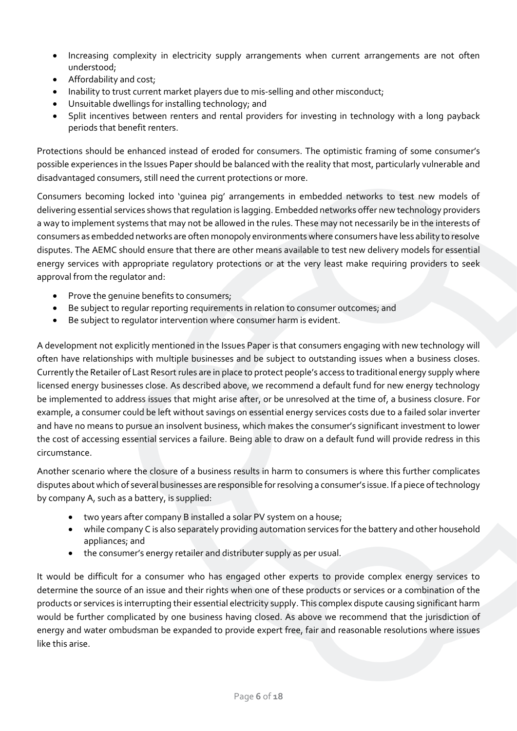- Increasing complexity in electricity supply arrangements when current arrangements are not often understood;
- Affordability and cost;
- Inability to trust current market players due to mis-selling and other misconduct;
- Unsuitable dwellings for installing technology; and
- Split incentives between renters and rental providers for investing in technology with a long payback periods that benefit renters.

Protections should be enhanced instead of eroded for consumers. The optimistic framing of some consumer's possible experiences in the Issues Paper should be balanced with the reality that most, particularly vulnerable and disadvantaged consumers, still need the current protections or more.

Consumers becoming locked into 'guinea pig' arrangements in embedded networks to test new models of delivering essential services shows that regulation is lagging. Embedded networks offer new technology providers a way to implement systems that may not be allowed in the rules. These may not necessarily be in the interests of consumers as embedded networks are often monopoly environments where consumers have less ability to resolve disputes. The AEMC should ensure that there are other means available to test new delivery models for essential energy services with appropriate regulatory protections or at the very least make requiring providers to seek approval from the regulator and:

- Prove the genuine benefits to consumers;
- Be subject to regular reporting requirements in relation to consumer outcomes; and
- Be subject to regulator intervention where consumer harm is evident.

A development not explicitly mentioned in the Issues Paper is that consumers engaging with new technology will often have relationships with multiple businesses and be subject to outstanding issues when a business closes. Currently the Retailer of Last Resort rules are in place to protect people's access to traditional energy supply where licensed energy businesses close. As described above, we recommend a default fund for new energy technology be implemented to address issues that might arise after, or be unresolved at the time of, a business closure. For example, a consumer could be left without savings on essential energy services costs due to a failed solar inverter and have no means to pursue an insolvent business, which makes the consumer's significant investment to lower the cost of accessing essential services a failure. Being able to draw on a default fund will provide redress in this circumstance.

Another scenario where the closure of a business results in harm to consumers is where this further complicates disputes about which of several businesses are responsible for resolving a consumer's issue. If a piece of technology by company A, such as a battery, is supplied:

- two years after company B installed a solar PV system on a house;
- while company C is also separately providing automation services for the battery and other household appliances; and
- the consumer's energy retailer and distributer supply as per usual.

It would be difficult for a consumer who has engaged other experts to provide complex energy services to determine the source of an issue and their rights when one of these products or services or a combination of the products or services is interrupting their essential electricity supply. This complex dispute causing significant harm would be further complicated by one business having closed. As above we recommend that the jurisdiction of energy and water ombudsman be expanded to provide expert free, fair and reasonable resolutions where issues like this arise.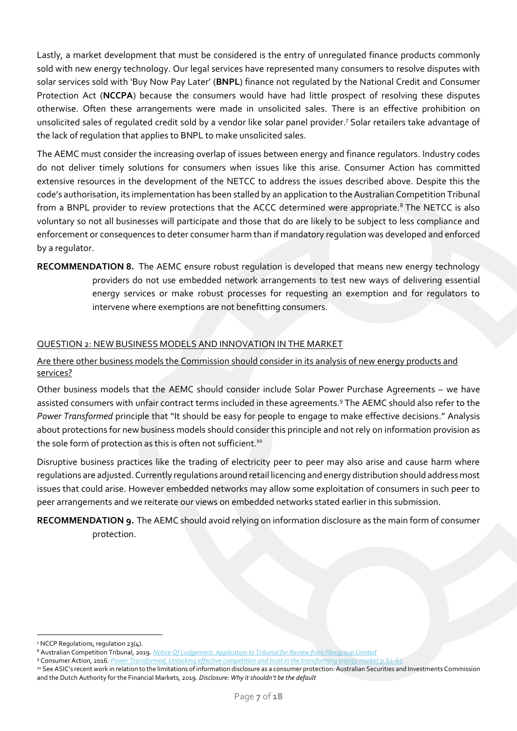Lastly, a market development that must be considered is the entry of unregulated finance products commonly sold with new energy technology. Our legal services have represented many consumers to resolve disputes with solar services sold with 'Buy Now Pay Later' (**BNPL**) finance not regulated by the National Credit and Consumer Protection Act (**NCCPA**) because the consumers would have had little prospect of resolving these disputes otherwise. Often these arrangements were made in unsolicited sales. There is an effective prohibition on unsolicited sales of regulated credit sold by a vendor like solar panel provider. <sup>7</sup> Solar retailers take advantage of the lack of regulation that applies to BNPL to make unsolicited sales.

The AEMC must consider the increasing overlap of issues between energy and finance regulators. Industry codes do not deliver timely solutions for consumers when issues like this arise. Consumer Action has committed extensive resources in the development of the NETCC to address the issues described above. Despite this the code's authorisation, its implementation has been stalled by an application to the Australian Competition Tribunal from a BNPL provider to review protections that the ACCC determined were appropriate.<sup>8</sup> The NETCC is also voluntary so not all businesses will participate and those that do are likely to be subject to less compliance and enforcement or consequences to deter consumer harm than if mandatory regulation was developed and enforced by a regulator.

<span id="page-6-2"></span>**RECOMMENDATION 8.** The AEMC ensure robust regulation is developed that means new energy technology providers do not use embedded network arrangements to test new ways of delivering essential energy services or make robust processes for requesting an exemption and for regulators to intervene where exemptions are not benefitting consumers.

### <span id="page-6-0"></span>QUESTION 2: NEW BUSINESS MODELS AND INNOVATION IN THE MARKET

# <span id="page-6-1"></span>Are there other business models the Commission should consider in its analysis of new energy products and services?

Other business models that the AEMC should consider include Solar Power Purchase Agreements – we have assisted consumers with unfair contract terms included in these agreements.<sup>9</sup> The AEMC should also refer to the *Power Transformed* principle that "It should be easy for people to engage to make effective decisions." Analysis about protections for new business models should consider this principle and not rely on information provision as the sole form of protection as this is often not sufficient.<sup>10</sup>

Disruptive business practices like the trading of electricity peer to peer may also arise and cause harm where regulations are adjusted. Currently regulations around retail licencing and energy distribution should address most issues that could arise. However embedded networks may allow some exploitation of consumers in such peer to peer arrangements and we reiterate our views on embedded networks stated earlier in this submission.

<span id="page-6-3"></span>**RECOMMENDATION 9.** The AEMC should avoid relying on information disclosure as the main form of consumer protection.

<sup>7</sup> NCCP Regulations, regulation 23(4).

<sup>8</sup> Australian Competition Tribunal, 2019. *[Notice Of Lodgement: Application to Tribunal for Review from Flexigroup Limited](https://www.competitiontribunal.gov.au/__data/assets/pdf_file/0004/60934/ACT-1-of-2019-application.pdf)*

<sup>9</sup> Consumer Action, 2016. *[Power Transformed; Unlocking effective competition and trust in the transforming energy market](https://consumeraction.org.au/wp-content/uploads/2016/07/Power-Transformed-Consumer-Action-Law-Centre-July-2016.pdf)* p.62-65

<sup>10</sup> See ASIC's recent work in relation to the limitations of information disclosure as a consumer protection: Australian Securities and Investments Commission and the Dutch Authority for the Financial Markets, 2019. *Disclosure: Why it shouldn't be the default*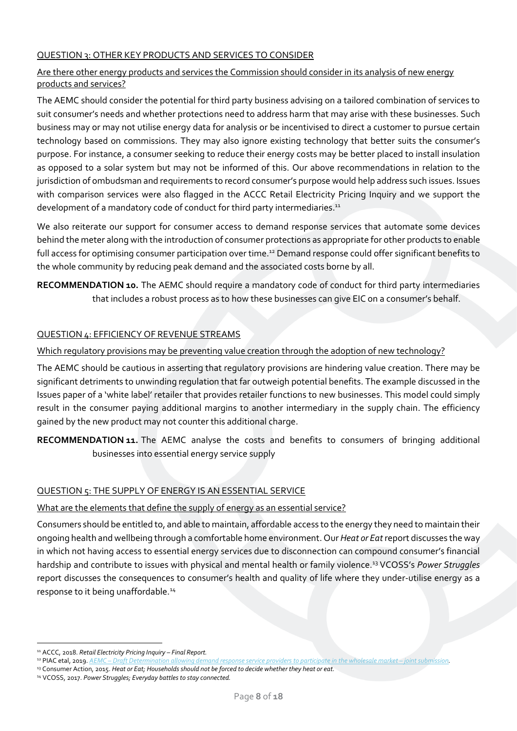# <span id="page-7-0"></span>QUESTION 3: OTHER KEY PRODUCTS AND SERVICES TO CONSIDER

## <span id="page-7-1"></span>Are there other energy products and services the Commission should consider in its analysis of new energy products and services?

The AEMC should consider the potential for third party business advising on a tailored combination of services to suit consumer's needs and whether protections need to address harm that may arise with these businesses. Such business may or may not utilise energy data for analysis or be incentivised to direct a customer to pursue certain technology based on commissions. They may also ignore existing technology that better suits the consumer's purpose. For instance, a consumer seeking to reduce their energy costs may be better placed to install insulation as opposed to a solar system but may not be informed of this. Our above recommendations in relation to the jurisdiction of ombudsman and requirements to record consumer's purpose would help address such issues. Issues with comparison services were also flagged in the ACCC Retail Electricity Pricing Inquiry and we support the development of a mandatory code of conduct for third party intermediaries.<sup>11</sup>

We also reiterate our support for consumer access to demand response services that automate some devices behind the meter along with the introduction of consumer protections as appropriate for other products to enable full access for optimising consumer participation over time.<sup>12</sup> Demand response could offer significant benefits to the whole community by reducing peak demand and the associated costs borne by all.

<span id="page-7-6"></span>**RECOMMENDATION 10.** The AEMC should require a mandatory code of conduct for third party intermediaries that includes a robust process as to how these businesses can give EIC on a consumer's behalf.

### <span id="page-7-2"></span>QUESTION 4: EFFICIENCY OF REVENUE STREAMS

#### <span id="page-7-3"></span>Which regulatory provisions may be preventing value creation through the adoption of new technology?

The AEMC should be cautious in asserting that regulatory provisions are hindering value creation. There may be significant detriments to unwinding regulation that far outweigh potential benefits. The example discussed in the Issues paper of a 'white label' retailer that provides retailer functions to new businesses. This model could simply result in the consumer paying additional margins to another intermediary in the supply chain. The efficiency gained by the new product may not counter this additional charge.

<span id="page-7-7"></span>**RECOMMENDATION 11.** The AEMC analyse the costs and benefits to consumers of bringing additional businesses into essential energy service supply

#### <span id="page-7-4"></span>QUESTION 5: THE SUPPLY OF ENERGY IS AN ESSENTIAL SERVICE

#### <span id="page-7-5"></span>What are the elements that define the supply of energy as an essential service?

Consumers should be entitled to, and able to maintain, affordable access to the energy they need to maintain their ongoing health and wellbeing through a comfortable home environment. Our *Heat or Eat* report discusses the way in which not having access to essential energy services due to disconnection can compound consumer's financial hardship and contribute to issues with physical and mental health or family violence.<sup>13</sup> VCOSS's *Power Struggles*  report discusses the consequences to consumer's health and quality of life where they under-utilise energy as a response to it being unaffordable.<sup>14</sup>

<sup>11</sup> ACCC, 2018. *Retail Electricity Pricing Inquiry – Final Report.*

<sup>12</sup> PIAC etal, 2019. *AEMC – [Draft Determination allowing demand response service providers to participate in the wholesale market](https://consumeraction.org.au/wp-content/uploads/2019/10/190913-PIAC-joint-sub-FINAL.pdf) – joint submission.*

<sup>13</sup> Consumer Action, 2015. *Heat or Eat; Households should not be forced to decide whether they heat or eat.*

<sup>14</sup> VCOSS, 2017. *Power Struggles; Everyday battles to stay connected.*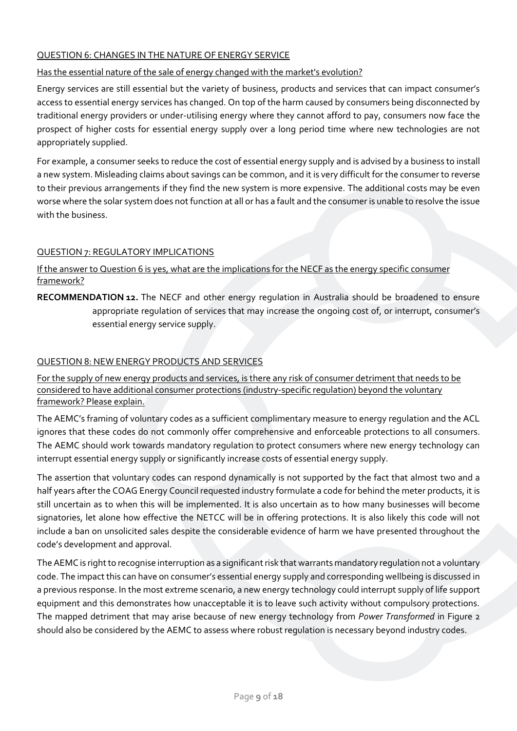# <span id="page-8-0"></span>QUESTION 6: CHANGES IN THE NATURE OF ENERGY SERVICE

## <span id="page-8-1"></span>Has the essential nature of the sale of energy changed with the market's evolution?

Energy services are still essential but the variety of business, products and services that can impact consumer's access to essential energy services has changed. On top of the harm caused by consumers being disconnected by traditional energy providers or under-utilising energy where they cannot afford to pay, consumers now face the prospect of higher costs for essential energy supply over a long period time where new technologies are not appropriately supplied.

For example, a consumer seeks to reduce the cost of essential energy supply and is advised by a business to install a new system. Misleading claims about savings can be common, and it is very difficult for the consumer to reverse to their previous arrangements if they find the new system is more expensive. The additional costs may be even worse where the solar system does not function at all or has a fault and the consumer is unable to resolve the issue with the business.

### <span id="page-8-2"></span>QUESTION 7: REGULATORY IMPLICATIONS

<span id="page-8-3"></span>If the answer to Question 6 is yes, what are the implications for the NECF as the energy specific consumer framework?

<span id="page-8-6"></span>**RECOMMENDATION 12.** The NECF and other energy regulation in Australia should be broadened to ensure appropriate regulation of services that may increase the ongoing cost of, or interrupt, consumer's essential energy service supply.

### <span id="page-8-4"></span>QUESTION 8: NEW ENERGY PRODUCTS AND SERVICES

<span id="page-8-5"></span>For the supply of new energy products and services, is there any risk of consumer detriment that needs to be considered to have additional consumer protections (industry-specific regulation) beyond the voluntary framework? Please explain.

The AEMC's framing of voluntary codes as a sufficient complimentary measure to energy regulation and the ACL ignores that these codes do not commonly offer comprehensive and enforceable protections to all consumers. The AEMC should work towards mandatory regulation to protect consumers where new energy technology can interrupt essential energy supply or significantly increase costs of essential energy supply.

The assertion that voluntary codes can respond dynamically is not supported by the fact that almost two and a half years after the COAG Energy Council requested industry formulate a code for behind the meter products, it is still uncertain as to when this will be implemented. It is also uncertain as to how many businesses will become signatories, let alone how effective the NETCC will be in offering protections. It is also likely this code will not include a ban on unsolicited sales despite the considerable evidence of harm we have presented throughout the code's development and approval.

The AEMC is right to recognise interruption as a significant risk that warrants mandatory regulation not a voluntary code. The impact this can have on consumer's essential energy supply and corresponding wellbeing is discussed in a previous response. In the most extreme scenario, a new energy technology could interrupt supply of life support equipment and this demonstrates how unacceptable it is to leave such activity without compulsory protections. The mapped detriment that may arise because of new energy technology from *Power Transformed* in Figure 2 should also be considered by the AEMC to assess where robust regulation is necessary beyond industry codes.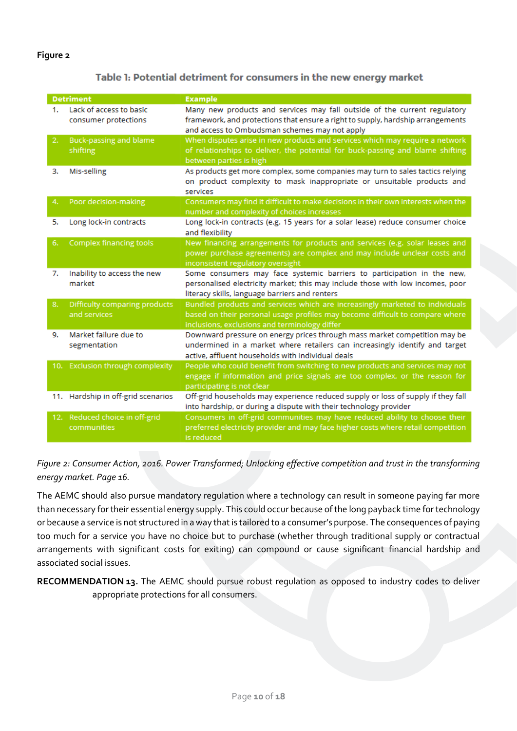#### **Figure 2**

#### Table 1: Potential detriment for consumers in the new energy market

| <b>Detriment</b> |                                                 | <b>Example</b>                                                                                                                                                                                                |
|------------------|-------------------------------------------------|---------------------------------------------------------------------------------------------------------------------------------------------------------------------------------------------------------------|
| 1.               | Lack of access to basic<br>consumer protections | Many new products and services may fall outside of the current regulatory<br>framework, and protections that ensure a right to supply, hardship arrangements<br>and access to Ombudsman schemes may not apply |
| 2.               | <b>Buck-passing and blame</b><br>shifting       | When disputes arise in new products and services which may require a network<br>of relationships to deliver, the potential for buck-passing and blame shifting<br>between parties is high                     |
| з.               | Mis-selling                                     | As products get more complex, some companies may turn to sales tactics relying<br>on product complexity to mask inappropriate or unsuitable products and<br>services                                          |
| 4.               | Poor decision-making                            | Consumers may find it difficult to make decisions in their own interests when the<br>number and complexity of choices increases                                                                               |
| 5.               | Long lock-in contracts                          | Long lock-in contracts (e.g. 15 years for a solar lease) reduce consumer choice<br>and flexibility                                                                                                            |
| 6.               | <b>Complex financing tools</b>                  | New financing arrangements for products and services (e.g. solar leases and<br>power purchase agreements) are complex and may include unclear costs and<br>inconsistent regulatory oversight                  |
| 7.               | Inability to access the new<br>market           | Some consumers may face systemic barriers to participation in the new,<br>personalised electricity market; this may include those with low incomes, poor<br>literacy skills, language barriers and renters    |
| 8.               | Difficulty comparing products<br>and services   | Bundled products and services which are increasingly marketed to individuals<br>based on their personal usage profiles may become difficult to compare where<br>inclusions, exclusions and terminology differ |
| 9.               | Market failure due to<br>segmentation           | Downward pressure on energy prices through mass market competition may be<br>undermined in a market where retailers can increasingly identify and target<br>active, affluent households with individual deals |
|                  | 10. Exclusion through complexity                | People who could benefit from switching to new products and services may not<br>engage if information and price signals are too complex, or the reason for<br>participating is not clear                      |
|                  | 11. Hardship in off-grid scenarios              | Off-grid households may experience reduced supply or loss of supply if they fall<br>into hardship, or during a dispute with their technology provider                                                         |
|                  | 12. Reduced choice in off-grid<br>communities   | Consumers in off-grid communities may have reduced ability to choose their<br>preferred electricity provider and may face higher costs where retail competition<br>is reduced                                 |

*Figure 2: Consumer Action, 2016. Power Transformed; Unlocking effective competition and trust in the transforming energy market. Page 16.*

The AEMC should also pursue mandatory regulation where a technology can result in someone paying far more than necessary for their essential energy supply. This could occur because of the long payback time for technology or because a service is not structured in a way that is tailored to a consumer's purpose. The consequences of paying too much for a service you have no choice but to purchase (whether through traditional supply or contractual arrangements with significant costs for exiting) can compound or cause significant financial hardship and associated social issues.

<span id="page-9-0"></span>**RECOMMENDATION 13.** The AEMC should pursue robust regulation as opposed to industry codes to deliver appropriate protections for all consumers.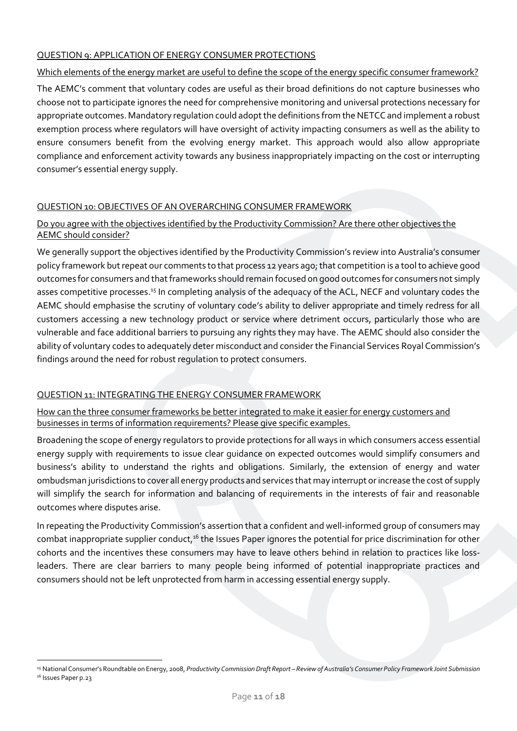## <span id="page-10-0"></span>QUESTION 9: APPLICATION OF ENERGY CONSUMER PROTECTIONS

### <span id="page-10-1"></span>Which elements of the energy market are useful to define the scope of the energy specific consumer framework?

The AEMC's comment that voluntary codes are useful as their broad definitions do not capture businesses who choose not to participate ignores the need for comprehensive monitoring and universal protections necessary for appropriate outcomes. Mandatory regulation could adopt the definitions from the NETCC and implement a robust exemption process where regulators will have oversight of activity impacting consumers as well as the ability to ensure consumers benefit from the evolving energy market. This approach would also allow appropriate compliance and enforcement activity towards any business inappropriately impacting on the cost or interrupting consumer's essential energy supply.

# <span id="page-10-2"></span>QUESTION 10: OBJECTIVES OF AN OVERARCHING CONSUMER FRAMEWORK

## <span id="page-10-3"></span>Do you agree with the objectives identified by the Productivity Commission? Are there other objectives the AEMC should consider?

We generally support the objectives identified by the Productivity Commission's review into Australia's consumer policy framework but repeat our comments to that process 12 years ago; that competition is a tool to achieve good outcomes for consumers and that frameworks should remain focused on good outcomes for consumers not simply asses competitive processes.<sup>15</sup> In completing analysis of the adequacy of the ACL, NECF and voluntary codes the AEMC should emphasise the scrutiny of voluntary code's ability to deliver appropriate and timely redress for all customers accessing a new technology product or service where detriment occurs, particularly those who are vulnerable and face additional barriers to pursuing any rights they may have. The AEMC should also consider the ability of voluntary codes to adequately deter misconduct and consider the Financial Services Royal Commission's findings around the need for robust regulation to protect consumers.

# <span id="page-10-4"></span>QUESTION 11: INTEGRATING THE ENERGY CONSUMER FRAMEWORK

<span id="page-10-5"></span>How can the three consumer frameworks be better integrated to make it easier for energy customers and businesses in terms of information requirements? Please give specific examples.

Broadening the scope of energy regulators to provide protections for all ways in which consumers access essential energy supply with requirements to issue clear guidance on expected outcomes would simplify consumers and business's ability to understand the rights and obligations. Similarly, the extension of energy and water ombudsman jurisdictions to cover all energy products and services that may interrupt or increase the cost of supply will simplify the search for information and balancing of requirements in the interests of fair and reasonable outcomes where disputes arise.

In repeating the Productivity Commission's assertion that a confident and well-informed group of consumers may combat inappropriate supplier conduct,<sup>16</sup> the Issues Paper ignores the potential for price discrimination for other cohorts and the incentives these consumers may have to leave others behind in relation to practices like lossleaders. There are clear barriers to many people being informed of potential inappropriate practices and consumers should not be left unprotected from harm in accessing essential energy supply.

<sup>15</sup> National Consumer's Roundtable on Energy, 2008, *Productivity Commission Draft Report – Review of Australia's Consumer Policy Framework Joint Submission* <sup>16</sup> Issues Paper p.23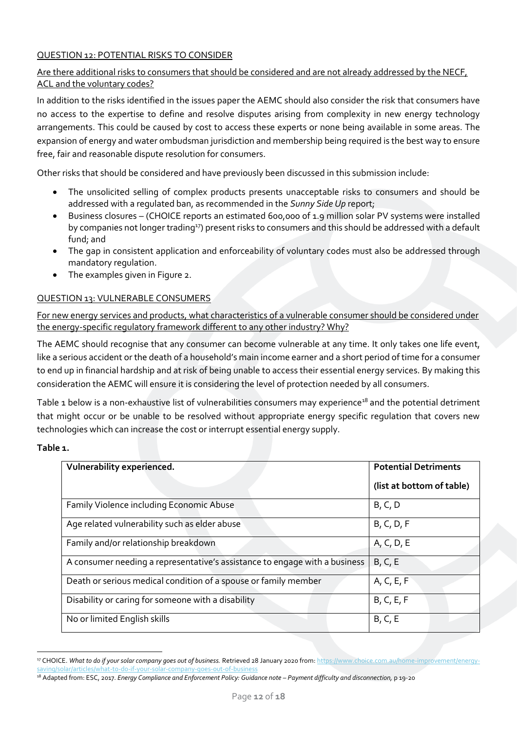# <span id="page-11-0"></span>QUESTION 12: POTENTIAL RISKS TO CONSIDER

# <span id="page-11-1"></span>Are there additional risks to consumers that should be considered and are not already addressed by the NECF, ACL and the voluntary codes?

In addition to the risks identified in the issues paper the AEMC should also consider the risk that consumers have no access to the expertise to define and resolve disputes arising from complexity in new energy technology arrangements. This could be caused by cost to access these experts or none being available in some areas. The expansion of energy and water ombudsman jurisdiction and membership being required is the best way to ensure free, fair and reasonable dispute resolution for consumers.

Other risks that should be considered and have previously been discussed in this submission include:

- The unsolicited selling of complex products presents unacceptable risks to consumers and should be addressed with a regulated ban, as recommended in the *Sunny Side Up* report;
- Business closures (CHOICE reports an estimated 600,000 of 1.9 million solar PV systems were installed by companies not longer trading<sup>17</sup>) present risks to consumers and this should be addressed with a default fund; and
- The gap in consistent application and enforceability of voluntary codes must also be addressed through mandatory regulation.
- The examples given in Figure 2.

### <span id="page-11-2"></span>QUESTION 13: VULNERABLE CONSUMERS

<span id="page-11-3"></span>For new energy services and products, what characteristics of a vulnerable consumer should be considered under the energy-specific regulatory framework different to any other industry? Why?

The AEMC should recognise that any consumer can become vulnerable at any time. It only takes one life event, like a serious accident or the death of a household's main income earner and a short period of time for a consumer to end up in financial hardship and at risk of being unable to access their essential energy services. By making this consideration the AEMC will ensure it is considering the level of protection needed by all consumers.

Table 1 below is a non-exhaustive list of vulnerabilities consumers may experience<sup>18</sup> and the potential detriment that might occur or be unable to be resolved without appropriate energy specific regulation that covers new technologies which can increase the cost or interrupt essential energy supply.

#### **Table 1.**

| Vulnerability experienced.                                                 | <b>Potential Detriments</b> |
|----------------------------------------------------------------------------|-----------------------------|
|                                                                            | (list at bottom of table)   |
| Family Violence including Economic Abuse                                   | B, C, D                     |
| Age related vulnerability such as elder abuse                              | B, C, D, F                  |
| Family and/or relationship breakdown                                       | A, C, D, E                  |
| A consumer needing a representative's assistance to engage with a business | B, C, E                     |
| Death or serious medical condition of a spouse or family member            | A, C, E, F                  |
| Disability or caring for someone with a disability                         | B, C, E, F                  |
| No or limited English skills                                               | B, C, E                     |

<sup>&</sup>lt;sup>17</sup> CHOICE. What to do if your solar company goes out of business. Retrieved 28 January 2020 from[: https://www.choice.com.au/home-improvement/energy](https://www.choice.com.au/home-improvement/energy-saving/solar/articles/what-to-do-if-your-solar-company-goes-out-of-business)[saving/solar/articles/what-to-do-if-your-solar-company-goes-out-of-business](https://www.choice.com.au/home-improvement/energy-saving/solar/articles/what-to-do-if-your-solar-company-goes-out-of-business)

<sup>&</sup>lt;sup>18</sup> Adapted from: ESC, 2017. *Energy Compliance and Enforcement Policy: Guidance note - Payment difficulty and disconnection*, p 19-20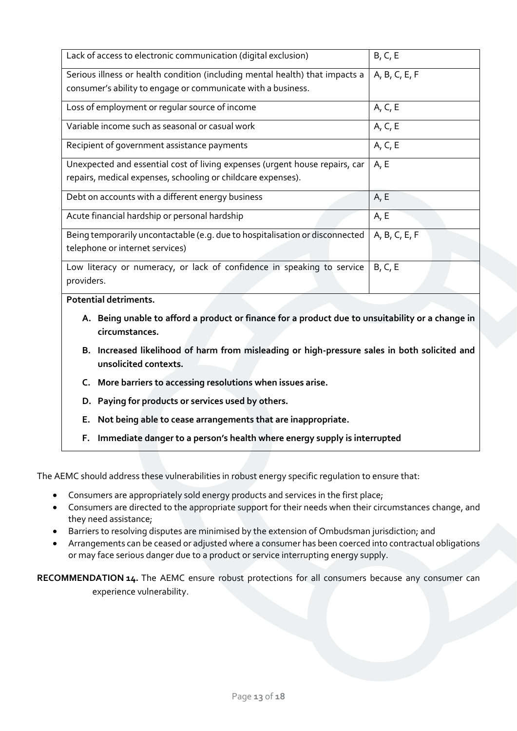| Lack of access to electronic communication (digital exclusion)               | B, C, E       |
|------------------------------------------------------------------------------|---------------|
| Serious illness or health condition (including mental health) that impacts a | A, B, C, E, F |
| consumer's ability to engage or communicate with a business.                 |               |
| Loss of employment or regular source of income                               | A, C, E       |
| Variable income such as seasonal or casual work                              | A, C, E       |
| Recipient of government assistance payments                                  | A, C, E       |
| Unexpected and essential cost of living expenses (urgent house repairs, car  | A, E          |
| repairs, medical expenses, schooling or childcare expenses).                 |               |
| Debt on accounts with a different energy business                            | A, E          |
| Acute financial hardship or personal hardship                                | A, E          |
| Being temporarily uncontactable (e.g. due to hospitalisation or disconnected | A, B, C, E, F |
| telephone or internet services)                                              |               |
| Low literacy or numeracy, or lack of confidence in speaking to service       | B, C, E       |
| providers.                                                                   |               |
|                                                                              |               |

**Potential detriments.**

- **A. Being unable to afford a product or finance for a product due to unsuitability or a change in circumstances.**
- **B. Increased likelihood of harm from misleading or high-pressure sales in both solicited and unsolicited contexts.**
- **C. More barriers to accessing resolutions when issues arise.**
- **D. Paying for products or services used by others.**
- **E. Not being able to cease arrangements that are inappropriate.**
- **F. Immediate danger to a person's health where energy supply is interrupted**

The AEMC should address these vulnerabilities in robust energy specific regulation to ensure that:

- Consumers are appropriately sold energy products and services in the first place;
- Consumers are directed to the appropriate support for their needs when their circumstances change, and they need assistance;
- Barriers to resolving disputes are minimised by the extension of Ombudsman jurisdiction; and
- Arrangements can be ceased or adjusted where a consumer has been coerced into contractual obligations or may face serious danger due to a product or service interrupting energy supply.

<span id="page-12-0"></span>**RECOMMENDATION 14.** The AEMC ensure robust protections for all consumers because any consumer can experience vulnerability.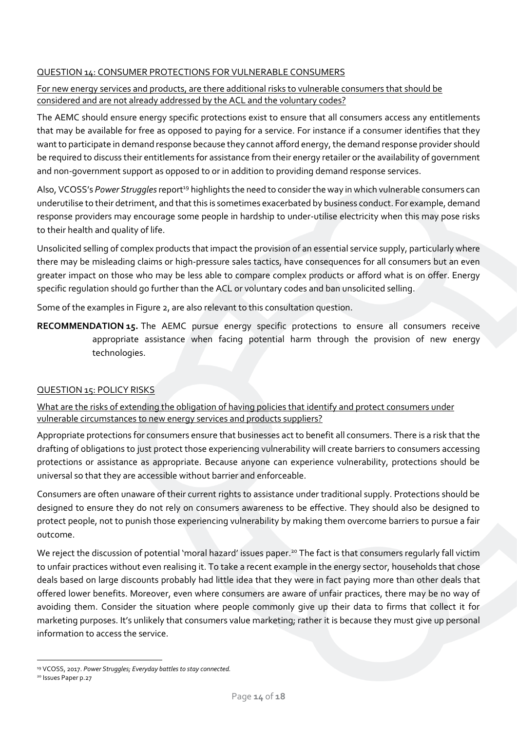# <span id="page-13-0"></span>QUESTION 14: CONSUMER PROTECTIONS FOR VULNERABLE CONSUMERS

# <span id="page-13-1"></span>For new energy services and products, are there additional risks to vulnerable consumers that should be considered and are not already addressed by the ACL and the voluntary codes?

The AEMC should ensure energy specific protections exist to ensure that all consumers access any entitlements that may be available for free as opposed to paying for a service. For instance if a consumer identifies that they want to participate in demand response because they cannot afford energy, the demand response provider should be required to discuss their entitlements for assistance from their energy retailer or the availability of government and non-government support as opposed to or in addition to providing demand response services.

Also, VCOSS's Power Struggles report<sup>19</sup> highlights the need to consider the way in which vulnerable consumers can underutilise to their detriment, and that this is sometimes exacerbated by business conduct. For example, demand response providers may encourage some people in hardship to under-utilise electricity when this may pose risks to their health and quality of life.

Unsolicited selling of complex products that impact the provision of an essential service supply, particularly where there may be misleading claims or high-pressure sales tactics, have consequences for all consumers but an even greater impact on those who may be less able to compare complex products or afford what is on offer. Energy specific regulation should go further than the ACL or voluntary codes and ban unsolicited selling.

Some of the examples in Figure 2, are also relevant to this consultation question.

<span id="page-13-4"></span>**RECOMMENDATION 15.** The AEMC pursue energy specific protections to ensure all consumers receive appropriate assistance when facing potential harm through the provision of new energy technologies.

# <span id="page-13-2"></span>QUESTION 15: POLICY RISKS

<span id="page-13-3"></span>What are the risks of extending the obligation of having policies that identify and protect consumers under vulnerable circumstances to new energy services and products suppliers?

Appropriate protections for consumers ensure that businesses act to benefit all consumers. There is a risk that the drafting of obligations to just protect those experiencing vulnerability will create barriers to consumers accessing protections or assistance as appropriate. Because anyone can experience vulnerability, protections should be universal so that they are accessible without barrier and enforceable.

Consumers are often unaware of their current rights to assistance under traditional supply. Protections should be designed to ensure they do not rely on consumers awareness to be effective. They should also be designed to protect people, not to punish those experiencing vulnerability by making them overcome barriers to pursue a fair outcome.

We reject the discussion of potential 'moral hazard' issues paper.<sup>20</sup> The fact is that consumers regularly fall victim to unfair practices without even realising it. To take a recent example in the energy sector, households that chose deals based on large discounts probably had little idea that they were in fact paying more than other deals that offered lower benefits. Moreover, even where consumers are aware of unfair practices, there may be no way of avoiding them. Consider the situation where people commonly give up their data to firms that collect it for marketing purposes. It's unlikely that consumers value marketing; rather it is because they must give up personal information to access the service.

<sup>19</sup> VCOSS, 2017. *Power Struggles; Everyday battles to stay connected.*

<sup>&</sup>lt;sup>20</sup> Issues Paper p.27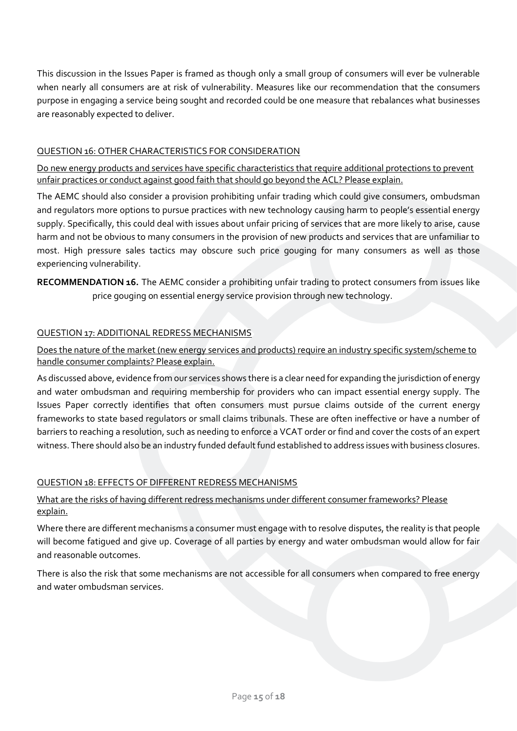This discussion in the Issues Paper is framed as though only a small group of consumers will ever be vulnerable when nearly all consumers are at risk of vulnerability. Measures like our recommendation that the consumers purpose in engaging a service being sought and recorded could be one measure that rebalances what businesses are reasonably expected to deliver.

### <span id="page-14-0"></span>QUESTION 16: OTHER CHARACTERISTICS FOR CONSIDERATION

<span id="page-14-1"></span>Do new energy products and services have specific characteristics that require additional protections to prevent unfair practices or conduct against good faith that should go beyond the ACL? Please explain.

The AEMC should also consider a provision prohibiting unfair trading which could give consumers, ombudsman and regulators more options to pursue practices with new technology causing harm to people's essential energy supply. Specifically, this could deal with issues about unfair pricing of services that are more likely to arise, cause harm and not be obvious to many consumers in the provision of new products and services that are unfamiliar to most. High pressure sales tactics may obscure such price gouging for many consumers as well as those experiencing vulnerability.

<span id="page-14-6"></span>**RECOMMENDATION 16.** The AEMC consider a prohibiting unfair trading to protect consumers from issues like price gouging on essential energy service provision through new technology.

# <span id="page-14-2"></span>QUESTION 17: ADDITIONAL REDRESS MECHANISMS

<span id="page-14-3"></span>Does the nature of the market (new energy services and products) require an industry specific system/scheme to handle consumer complaints? Please explain.

As discussed above, evidence from our services shows there is a clear need for expanding the jurisdiction of energy and water ombudsman and requiring membership for providers who can impact essential energy supply. The Issues Paper correctly identifies that often consumers must pursue claims outside of the current energy frameworks to state based regulators or small claims tribunals. These are often ineffective or have a number of barriers to reaching a resolution, such as needing to enforce a VCAT order or find and cover the costs of an expert witness. There should also be an industry funded default fund established to address issues with business closures.

#### <span id="page-14-4"></span>QUESTION 18: EFFECTS OF DIFFERENT REDRESS MECHANISMS

# <span id="page-14-5"></span>What are the risks of having different redress mechanisms under different consumer frameworks? Please explain.

Where there are different mechanisms a consumer must engage with to resolve disputes, the reality is that people will become fatigued and give up. Coverage of all parties by energy and water ombudsman would allow for fair and reasonable outcomes.

There is also the risk that some mechanisms are not accessible for all consumers when compared to free energy and water ombudsman services.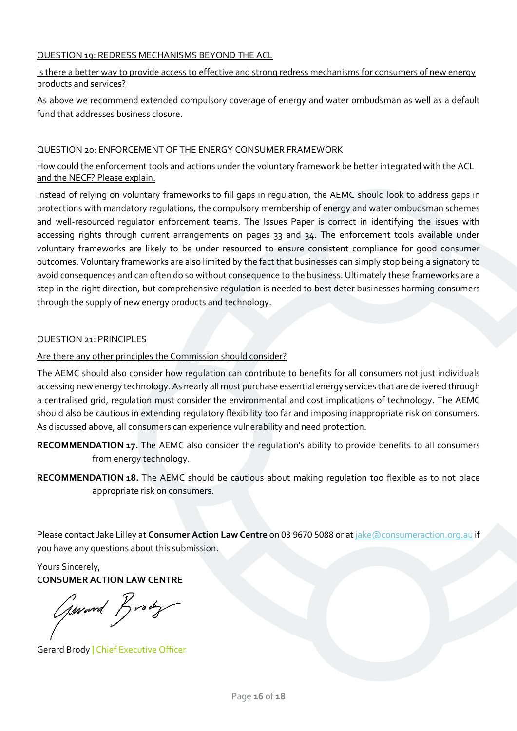### <span id="page-15-0"></span>QUESTION 19: REDRESS MECHANISMS BEYOND THE ACL

## <span id="page-15-1"></span>Is there a better way to provide access to effective and strong redress mechanisms for consumers of new energy products and services?

As above we recommend extended compulsory coverage of energy and water ombudsman as well as a default fund that addresses business closure.

#### <span id="page-15-2"></span>QUESTION 20: ENFORCEMENT OF THE ENERGY CONSUMER FRAMEWORK

# <span id="page-15-3"></span>How could the enforcement tools and actions under the voluntary framework be better integrated with the ACL and the NECF? Please explain.

Instead of relying on voluntary frameworks to fill gaps in regulation, the AEMC should look to address gaps in protections with mandatory regulations, the compulsory membership of energy and water ombudsman schemes and well-resourced regulator enforcement teams. The Issues Paper is correct in identifying the issues with accessing rights through current arrangements on pages 33 and 34. The enforcement tools available under voluntary frameworks are likely to be under resourced to ensure consistent compliance for good consumer outcomes. Voluntary frameworks are also limited by the fact that businesses can simply stop being a signatory to avoid consequences and can often do so without consequence to the business. Ultimately these frameworks are a step in the right direction, but comprehensive regulation is needed to best deter businesses harming consumers through the supply of new energy products and technology.

#### <span id="page-15-4"></span>QUESTION 21: PRINCIPLES

### <span id="page-15-5"></span>Are there any other principles the Commission should consider?

The AEMC should also consider how regulation can contribute to benefits for all consumers not just individuals accessing new energy technology. As nearly all must purchase essential energy services that are delivered through a centralised grid, regulation must consider the environmental and cost implications of technology. The AEMC should also be cautious in extending regulatory flexibility too far and imposing inappropriate risk on consumers. As discussed above, all consumers can experience vulnerability and need protection.

- <span id="page-15-6"></span>**RECOMMENDATION 17.** The AEMC also consider the regulation's ability to provide benefits to all consumers from energy technology.
- <span id="page-15-7"></span>**RECOMMENDATION 18.** The AEMC should be cautious about making regulation too flexible as to not place appropriate risk on consumers.

Please contact Jake Lilley at *Consumer Action Law Centre* on 03 9670 5088 or at *jake*@consumeraction.org.au if you have any questions about this submission.

Yours Sincerely, **CONSUMER ACTION LAW CENTRE**

Gerard Brody

Gerard Brody **|** Chief Executive Officer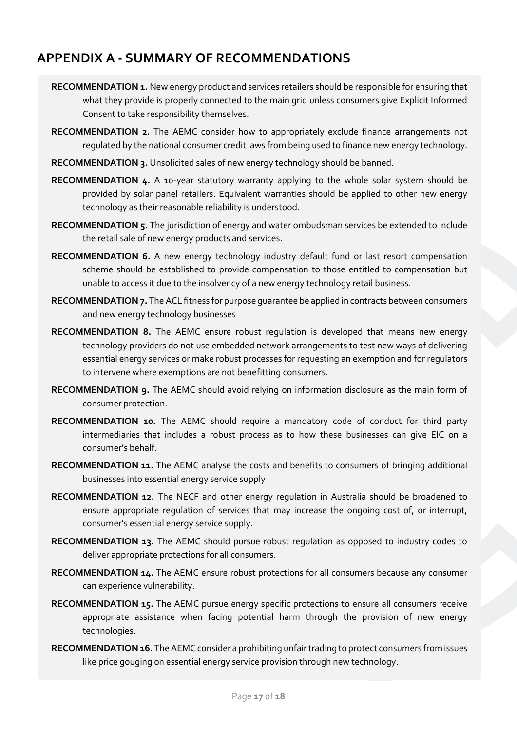# <span id="page-16-0"></span>**APPENDIX A - SUMMARY OF RECOMMENDATIONS**

- **RECOMMENDATION 1.** [New energy product and services retailers should be responsible for ensuring that](#page-3-1)  [what they provide is properly connected to the main grid unless consumers give Explicit Informed](#page-3-1)  [Consent to take responsibility themselves.](#page-3-1)
- **RECOMMENDATION 2.** The [AEMC consider how to appropriately exclude finance arrangements not](#page-3-2)  [regulated by the national consumer credit laws from being used to finance new energy technology.](#page-3-2)
- **RECOMMENDATION 3.** [Unsolicited sales of new energy technology should be banned.](#page-3-3)
- **RECOMMENDATION 4.** [A 10-year statutory warranty applying to the whole solar system should be](#page-3-4)  [provided by solar panel retailers. Equivalent warranties should be applied to other new energy](#page-3-4)  [technology as their reasonable reliability is understood.](#page-3-4)
- **RECOMMENDATION 5.** [The jurisdiction of energy and water ombudsman services be extended to include](#page-3-5)  [the retail sale of new energy products and services.](#page-3-5)
- **RECOMMENDATION 6.** [A new energy technology industry default fund or last resort compensation](#page-3-6)  [scheme should be established to provide compensation to those entitled to compensation but](#page-3-6)  [unable to access it due to the insolvency of a new energy technology retail business.](#page-3-6)
- **RECOMMENDATION 7.** [The ACL fitness for purpose guarantee be applied in contracts between consumers](#page-4-3)  [and new energy technology businesses](#page-4-3)
- **RECOMMENDATION 8.** [The AEMC ensure robust regulation is developed that means new energy](#page-6-2)  [technology providers do not use embedded network arrangements to test new ways of delivering](#page-6-2)  [essential energy services or make robust processes for requesting an exemption and for regulators](#page-6-2)  [to intervene where exemptions are not benefitting consumers.](#page-6-2)
- **RECOMMENDATION 9.** [The AEMC should avoid relying on information disclosure as the main form of](#page-6-3)  [consumer protection.](#page-6-3)
- **RECOMMENDATION 10.** [The AEMC should require a mandatory code of conduct for third party](#page-7-6)  [intermediaries that includes a robust process as to how these businesses can give EIC on a](#page-7-6)  [consumer's behalf.](#page-7-6)
- **RECOMMENDATION 11.** [The AEMC analyse the costs and benefits to consumers of bringing additional](#page-7-7)  [businesses into essential energy service supply](#page-7-7)
- **RECOMMENDATION 12.** The NECF [and other energy regulation in Australia should be broadened to](#page-8-6)  [ensure appropriate regulation of services that may increase the ongoing cost of, or interrupt,](#page-8-6)  [consumer's essential energy service supply.](#page-8-6)
- **RECOMMENDATION 13.** [The AEMC should pursue robust regulation as opposed to industry codes to](#page-9-0)  [deliver appropriate protections for all consumers.](#page-9-0)
- **RECOMMENDATION 14.** [The AEMC ensure robust protections for all consumers because any consumer](#page-12-0)  [can experience vulnerability.](#page-12-0)
- **RECOMMENDATION 15.** [The AEMC pursue energy specific protections to ensure all consumers receive](#page-13-4)  [appropriate assistance when facing potential harm through the provision of new energy](#page-13-4)  [technologies.](#page-13-4)
- **RECOMMENDATION 16.** [The AEMC consider a prohibiting unfair trading to protect consumers from issues](#page-14-6)  [like price gouging on essential energy service provision through new technology.](#page-14-6)